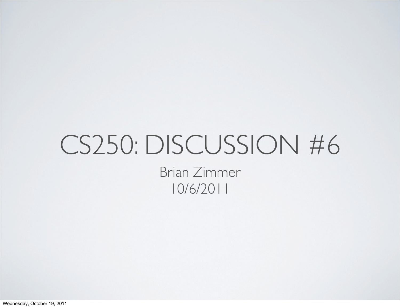#### CS250: DISCUSSION #6 Brian Zimmer 10/6/2011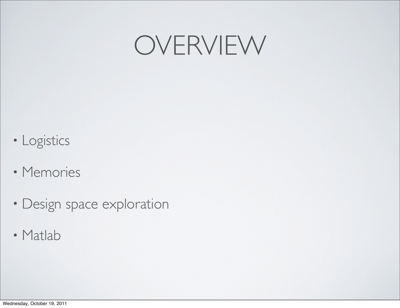#### OVERVIEW

- Logistics
- Memories
- Design space exploration
- Matlab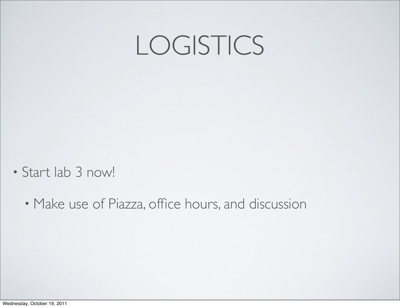### LOGISTICS

- Start lab 3 now!
	- Make use of Piazza, office hours, and discussion

Wednesday, October 19, 2011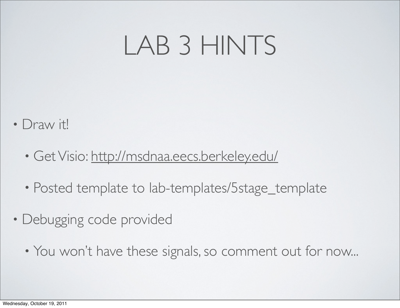### LAB 3 HINTS

- Draw it!
	- Get Visio:<http://msdnaa.eecs.berkeley.edu/>
	- Posted template to lab-templates/5stage\_template
- Debugging code provided
	- You won't have these signals, so comment out for now...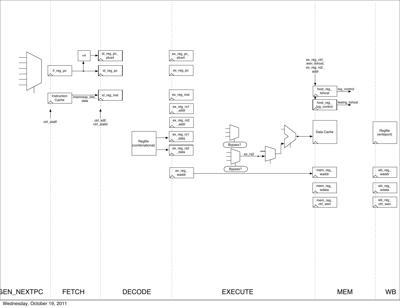

Wednesday, October 19, 2011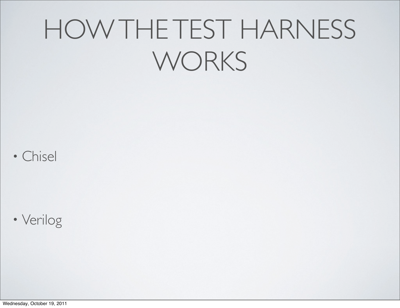# HOW THE TEST HARNESS WORKS

• Chisel

• Verilog

Wednesday, October 19, 2011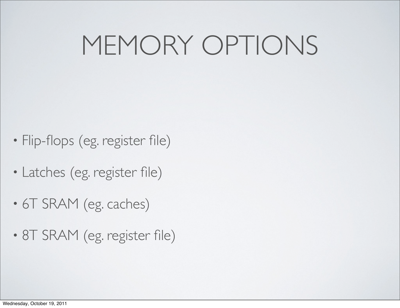## MEMORY OPTIONS

- Flip-flops (eg. register file)
- Latches (eg. register file)
- 6T SRAM (eg. caches)
- 8T SRAM (eg. register file)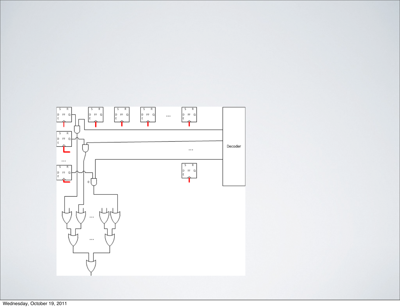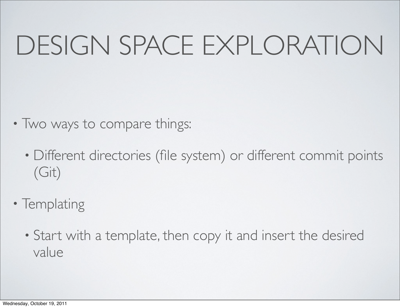# DESIGN SPACE EXPLORATION

- Two ways to compare things:
	- Different directories (file system) or different commit points (Git)
- Templating
	- Start with a template, then copy it and insert the desired value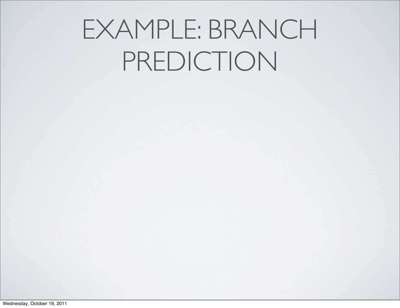# EXAMPLE: BRANCH PREDICTION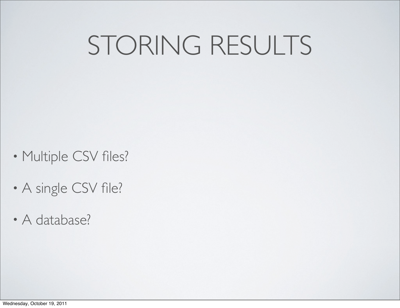## STORING RESULTS

- Multiple CSV files?
- A single CSV file?
- A database?